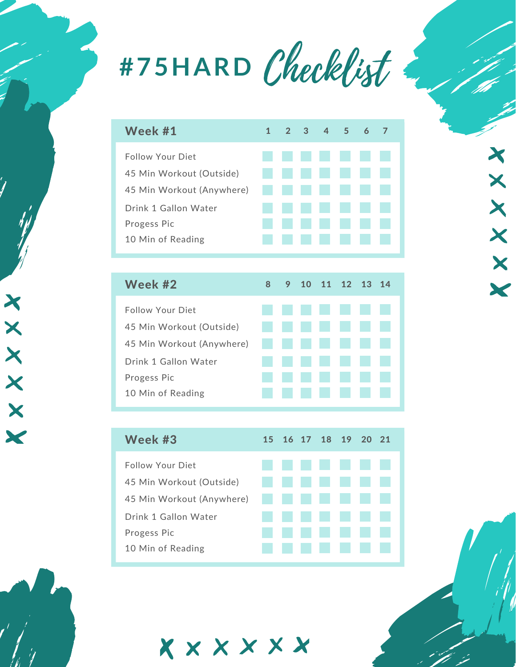

| Week #1                   |  |                | $1 \t2 \t3 \t4 \t5 \t6$ |  |  |
|---------------------------|--|----------------|-------------------------|--|--|
| <b>Follow Your Diet</b>   |  |                | <b>The Common</b>       |  |  |
| 45 Min Workout (Outside)  |  |                | <b>College</b>          |  |  |
| 45 Min Workout (Anywhere) |  |                | a sa                    |  |  |
| Drink 1 Gallon Water      |  | <b>College</b> | a sa                    |  |  |
| Progess Pic               |  |                |                         |  |  |
| 10 Min of Reading         |  |                |                         |  |  |
|                           |  |                |                         |  |  |

| Week #2                   | 8 |  | 9 10 11 12 13 14     |                          |  |
|---------------------------|---|--|----------------------|--------------------------|--|
| <b>Follow Your Diet</b>   |   |  | .                    |                          |  |
| 45 Min Workout (Outside)  |   |  | .                    |                          |  |
| 45 Min Workout (Anywhere) |   |  | .                    |                          |  |
| Drink 1 Gallon Water      |   |  | .                    |                          |  |
| Progess Pic               |   |  | <b>College</b>       | $\sim$                   |  |
| 10 Min of Reading         |   |  | and the state of the | <b>Contract Contract</b> |  |
|                           |   |  |                      |                          |  |

| Week #3                   |  | 15 16 17 18 19 20 21 |  |  |
|---------------------------|--|----------------------|--|--|
| <b>Follow Your Diet</b>   |  | .                    |  |  |
| 45 Min Workout (Outside)  |  | .                    |  |  |
| 45 Min Workout (Anywhere) |  | .                    |  |  |
| Drink 1 Gallon Water      |  | .                    |  |  |
| Progess Pic               |  | <b>.</b> .           |  |  |
| 10 Min of Reading         |  | <b>College</b>       |  |  |

xxxxxx



XXXXXX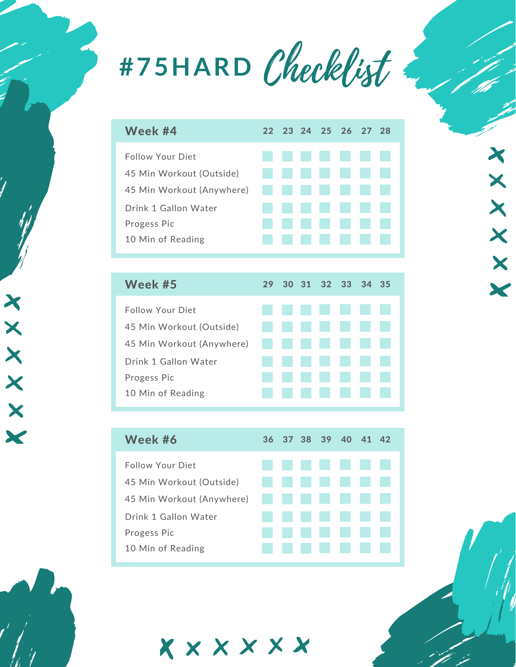

|  |  |  | 22 23 24 25 26 27 28<br>-------<br>------<br>45 Min Workout (Anywhere) <b>The Communist Communist Communist Communist Communist Communist Communist Communist Communist Communist Communist Communist Communist Communist Communist Communist Communist Communist Communist C</b><br>.<br>.<br>------ |
|--|--|--|-------------------------------------------------------------------------------------------------------------------------------------------------------------------------------------------------------------------------------------------------------------------------------------------------------|

XXXXXX

| Week #5                   |                          |                          |                 | 29 30 31 32 33 34 35 |                    |  |
|---------------------------|--------------------------|--------------------------|-----------------|----------------------|--------------------|--|
| Follow Your Diet          |                          |                          |                 |                      |                    |  |
| 45 Min Workout (Outside)  | a sa Ba                  |                          |                 |                      | <b>The Company</b> |  |
| 45 Min Workout (Anywhere) | <b>Contract Contract</b> |                          |                 | .                    |                    |  |
| Drink 1 Gallon Water      |                          | <b>Contract Contract</b> | <b>COLLEGE</b>  |                      |                    |  |
| Progess Pic               |                          |                          | <b>Contract</b> | <b>College</b>       |                    |  |
| 10 Min of Reading         |                          |                          |                 |                      |                    |  |
|                           |                          |                          |                 |                      |                    |  |

XXXXXX

| Week #6                   |  |                 |         | 36 37 38 39 40 41 42 |  |
|---------------------------|--|-----------------|---------|----------------------|--|
| Follow Your Diet          |  |                 |         | .                    |  |
| 45 Min Workout (Outside)  |  |                 |         | .                    |  |
| 45 Min Workout (Anywhere) |  |                 |         | .                    |  |
| Drink 1 Gallon Water      |  |                 |         | .                    |  |
| Progess Pic               |  | <b>Contract</b> | a sa sa |                      |  |
| 10 Min of Reading         |  |                 |         |                      |  |

xxxxxx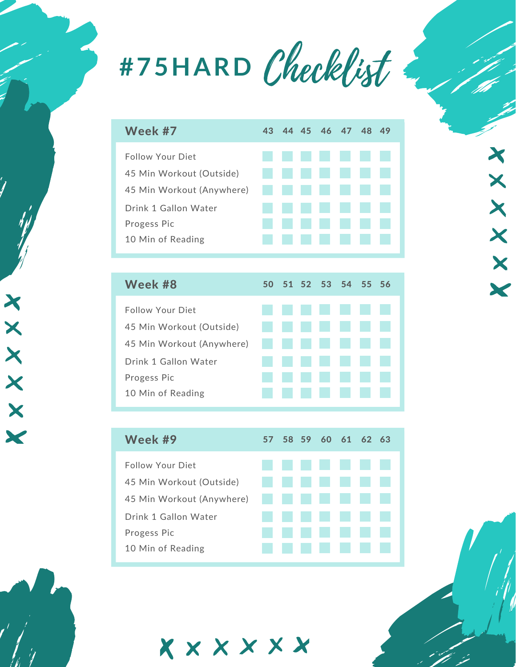

| Week #7                   | 43 |  | 44 45 46 47 48 49 |                   |  |
|---------------------------|----|--|-------------------|-------------------|--|
| Follow Your Diet          |    |  | .                 |                   |  |
| 45 Min Workout (Outside)  |    |  | ------            |                   |  |
| 45 Min Workout (Anywhere) | .  |  |                   |                   |  |
| Drink 1 Gallon Water      |    |  | -------           |                   |  |
| Progess Pic               |    |  | ------            |                   |  |
| 10 Min of Reading         |    |  |                   | <b>CONTRACTOR</b> |  |
|                           |    |  |                   |                   |  |

| Week #8                   |                 |                |                | 50 51 52 53 54 55 56 |  |
|---------------------------|-----------------|----------------|----------------|----------------------|--|
| Follow Your Diet          |                 |                |                | .                    |  |
| 45 Min Workout (Outside)  |                 | a sa B         |                | an sa Bara           |  |
| 45 Min Workout (Anywhere) |                 |                |                | .                    |  |
| Drink 1 Gallon Water      | <b>Contract</b> | a sa b         |                | and the state        |  |
| Progess Pic               |                 | <b>College</b> | <b>College</b> |                      |  |
| 10 Min of Reading         |                 |                |                |                      |  |
|                           |                 |                |                |                      |  |

XXXXXX

| Week #9                   |  | 57 58 59 60 61 62 63 |  |  |
|---------------------------|--|----------------------|--|--|
| <b>Follow Your Diet</b>   |  | .                    |  |  |
| 45 Min Workout (Outside)  |  | .                    |  |  |
| 45 Min Workout (Anywhere) |  | .                    |  |  |
| Drink 1 Gallon Water      |  | .                    |  |  |
| Progess Pic               |  | a di kacamatan       |  |  |
| 10 Min of Reading         |  |                      |  |  |

Xxxxxx